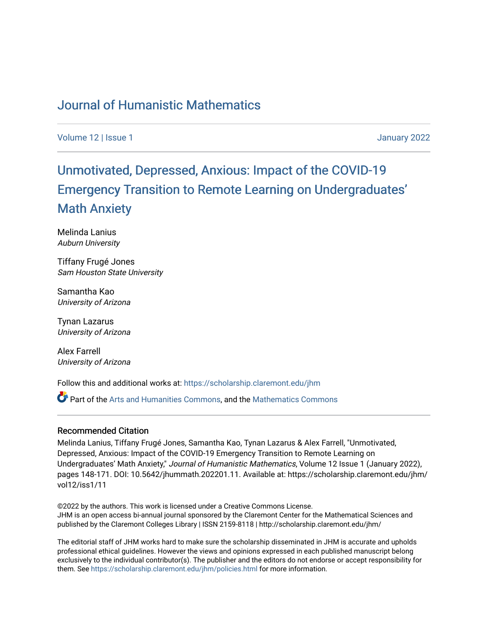## [Journal of Humanistic Mathematics](https://scholarship.claremont.edu/jhm)

[Volume 12](https://scholarship.claremont.edu/jhm/vol12) | [Issue 1 January 2022](https://scholarship.claremont.edu/jhm/vol12/iss1) 

# [Unmotivated, Depressed, Anxious: Impact of the COVID-19](https://scholarship.claremont.edu/jhm/vol12/iss1/11)  Emergency Transition to Remote Learning on Undergr[aduates'](https://scholarship.claremont.edu/jhm/vol12/iss1/11) [Math Anxiety](https://scholarship.claremont.edu/jhm/vol12/iss1/11)

Melinda Lanius Auburn University

Tiffany Frugé Jones Sam Houston State University

Samantha Kao University of Arizona

Tynan Lazarus University of Arizona

Alex Farrell University of Arizona

Follow this and additional works at: [https://scholarship.claremont.edu/jhm](https://scholarship.claremont.edu/jhm?utm_source=scholarship.claremont.edu%2Fjhm%2Fvol12%2Fiss1%2F11&utm_medium=PDF&utm_campaign=PDFCoverPages)

Part of the [Arts and Humanities Commons,](http://network.bepress.com/hgg/discipline/438?utm_source=scholarship.claremont.edu%2Fjhm%2Fvol12%2Fiss1%2F11&utm_medium=PDF&utm_campaign=PDFCoverPages) and the [Mathematics Commons](http://network.bepress.com/hgg/discipline/174?utm_source=scholarship.claremont.edu%2Fjhm%2Fvol12%2Fiss1%2F11&utm_medium=PDF&utm_campaign=PDFCoverPages) 

## Recommended Citation

Melinda Lanius, Tiffany Frugé Jones, Samantha Kao, Tynan Lazarus & Alex Farrell, "Unmotivated, Depressed, Anxious: Impact of the COVID-19 Emergency Transition to Remote Learning on Undergraduates' Math Anxiety," Journal of Humanistic Mathematics, Volume 12 Issue 1 (January 2022), pages 148-171. DOI: 10.5642/jhummath.202201.11. Available at: https://scholarship.claremont.edu/jhm/ vol12/iss1/11

©2022 by the authors. This work is licensed under a Creative Commons License. JHM is an open access bi-annual journal sponsored by the Claremont Center for the Mathematical Sciences and published by the Claremont Colleges Library | ISSN 2159-8118 | http://scholarship.claremont.edu/jhm/

The editorial staff of JHM works hard to make sure the scholarship disseminated in JHM is accurate and upholds professional ethical guidelines. However the views and opinions expressed in each published manuscript belong exclusively to the individual contributor(s). The publisher and the editors do not endorse or accept responsibility for them. See<https://scholarship.claremont.edu/jhm/policies.html> for more information.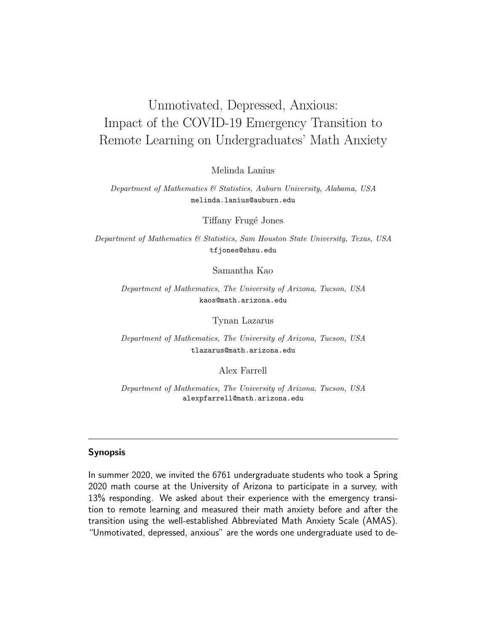## Unmotivated, Depressed, Anxious: Impact of the COVID-19 Emergency Transition to Remote Learning on Undergraduates' Math Anxiety

Melinda Lanius

Department of Mathematics & Statistics, Auburn University, Alabama, USA melinda.lanius@auburn.edu

Tiffany Frug´e Jones

Department of Mathematics & Statistics, Sam Houston State University, Texas, USA tfjones@shsu.edu

Samantha Kao

Department of Mathematics, The University of Arizona, Tucson, USA kaos@math.arizona.edu

Tynan Lazarus

Department of Mathematics, The University of Arizona, Tucson, USA tlazarus@math.arizona.edu

Alex Farrell

Department of Mathematics, The University of Arizona, Tucson, USA alexpfarrell@math.arizona.edu

#### Synopsis

In summer 2020, we invited the 6761 undergraduate students who took a Spring 2020 math course at the University of Arizona to participate in a survey, with 13% responding. We asked about their experience with the emergency transition to remote learning and measured their math anxiety before and after the transition using the well-established Abbreviated Math Anxiety Scale (AMAS). "Unmotivated, depressed, anxious" are the words one undergraduate used to de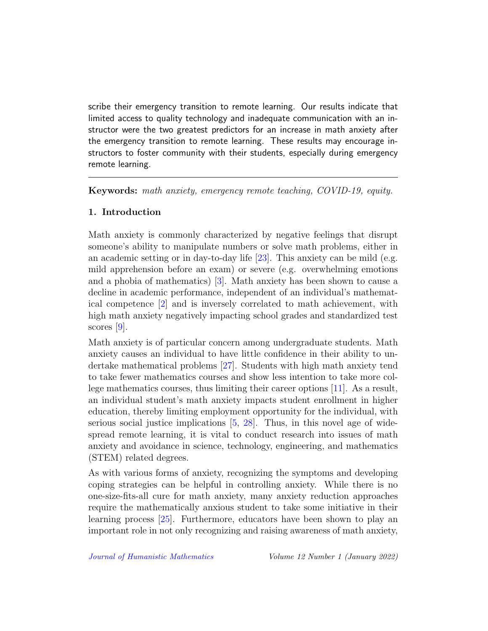scribe their emergency transition to remote learning. Our results indicate that limited access to quality technology and inadequate communication with an instructor were the two greatest predictors for an increase in math anxiety after the emergency transition to remote learning. These results may encourage instructors to foster community with their students, especially during emergency remote learning.

Keywords: math anxiety, emergency remote teaching, COVID-19, equity.

## 1. Introduction

Math anxiety is commonly characterized by negative feelings that disrupt someone's ability to manipulate numbers or solve math problems, either in an academic setting or in day-to-day life [\[23\]](#page-24-0). This anxiety can be mild (e.g. mild apprehension before an exam) or severe (e.g. overwhelming emotions and a phobia of mathematics) [\[3\]](#page-22-0). Math anxiety has been shown to cause a decline in academic performance, independent of an individual's mathematical competence [\[2\]](#page-21-0) and is inversely correlated to math achievement, with high math anxiety negatively impacting school grades and standardized test scores [\[9\]](#page-22-1).

Math anxiety is of particular concern among undergraduate students. Math anxiety causes an individual to have little confidence in their ability to undertake mathematical problems [\[27\]](#page-24-1). Students with high math anxiety tend to take fewer mathematics courses and show less intention to take more college mathematics courses, thus limiting their career options [\[11\]](#page-22-2). As a result, an individual student's math anxiety impacts student enrollment in higher education, thereby limiting employment opportunity for the individual, with serious social justice implications  $[5, 28]$  $[5, 28]$  $[5, 28]$ . Thus, in this novel age of widespread remote learning, it is vital to conduct research into issues of math anxiety and avoidance in science, technology, engineering, and mathematics (STEM) related degrees.

As with various forms of anxiety, recognizing the symptoms and developing coping strategies can be helpful in controlling anxiety. While there is no one-size-fits-all cure for math anxiety, many anxiety reduction approaches require the mathematically anxious student to take some initiative in their learning process [\[25\]](#page-24-3). Furthermore, educators have been shown to play an important role in not only recognizing and raising awareness of math anxiety,

[Journal of Humanistic Mathematics](http://scholarship.claremont.edu/jhm/) Volume 12 Number 1 (January 2022)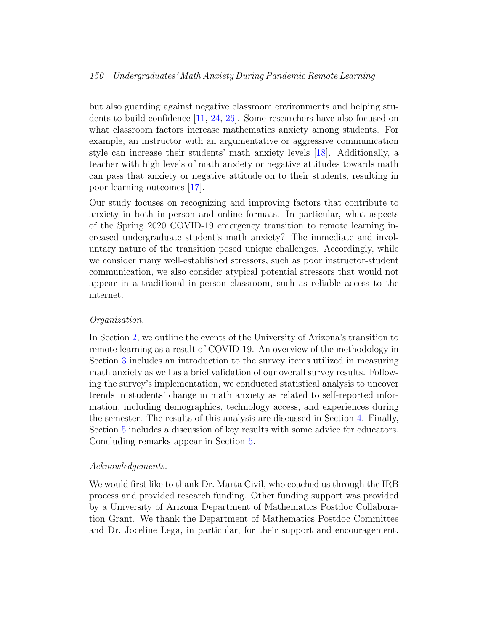#### 150 Undergraduates' Math Anxiety During Pandemic Remote Learning

but also guarding against negative classroom environments and helping students to build confidence [\[11,](#page-22-2) [24,](#page-24-4) [26\]](#page-24-5). Some researchers have also focused on what classroom factors increase mathematics anxiety among students. For example, an instructor with an argumentative or aggressive communication style can increase their students' math anxiety levels [\[18\]](#page-23-0). Additionally, a teacher with high levels of math anxiety or negative attitudes towards math can pass that anxiety or negative attitude on to their students, resulting in poor learning outcomes [\[17\]](#page-23-1).

Our study focuses on recognizing and improving factors that contribute to anxiety in both in-person and online formats. In particular, what aspects of the Spring 2020 COVID-19 emergency transition to remote learning increased undergraduate student's math anxiety? The immediate and involuntary nature of the transition posed unique challenges. Accordingly, while we consider many well-established stressors, such as poor instructor-student communication, we also consider atypical potential stressors that would not appear in a traditional in-person classroom, such as reliable access to the internet.

#### Organization.

In Section [2,](#page-4-0) we outline the events of the University of Arizona's transition to remote learning as a result of COVID-19. An overview of the methodology in Section [3](#page-7-0) includes an introduction to the survey items utilized in measuring math anxiety as well as a brief validation of our overall survey results. Following the survey's implementation, we conducted statistical analysis to uncover trends in students' change in math anxiety as related to self-reported information, including demographics, technology access, and experiences during the semester. The results of this analysis are discussed in Section [4.](#page-10-0) Finally, Section [5](#page-17-0) includes a discussion of key results with some advice for educators. Concluding remarks appear in Section [6.](#page-21-1)

#### Acknowledgements.

We would first like to thank Dr. Marta Civil, who coached us through the IRB process and provided research funding. Other funding support was provided by a University of Arizona Department of Mathematics Postdoc Collaboration Grant. We thank the Department of Mathematics Postdoc Committee and Dr. Joceline Lega, in particular, for their support and encouragement.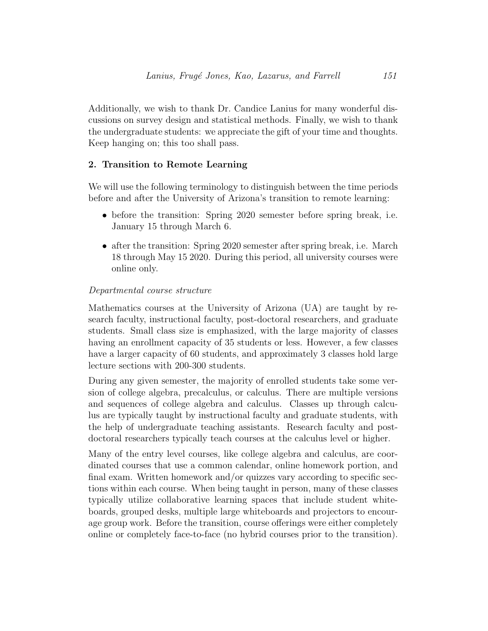Additionally, we wish to thank Dr. Candice Lanius for many wonderful discussions on survey design and statistical methods. Finally, we wish to thank the undergraduate students: we appreciate the gift of your time and thoughts. Keep hanging on; this too shall pass.

## <span id="page-4-0"></span>2. Transition to Remote Learning

We will use the following terminology to distinguish between the time periods before and after the University of Arizona's transition to remote learning:

- before the transition: Spring 2020 semester before spring break, i.e. January 15 through March 6.
- after the transition: Spring 2020 semester after spring break, i.e. March 18 through May 15 2020. During this period, all university courses were online only.

## Departmental course structure

Mathematics courses at the University of Arizona (UA) are taught by research faculty, instructional faculty, post-doctoral researchers, and graduate students. Small class size is emphasized, with the large majority of classes having an enrollment capacity of 35 students or less. However, a few classes have a larger capacity of 60 students, and approximately 3 classes hold large lecture sections with 200-300 students.

During any given semester, the majority of enrolled students take some version of college algebra, precalculus, or calculus. There are multiple versions and sequences of college algebra and calculus. Classes up through calculus are typically taught by instructional faculty and graduate students, with the help of undergraduate teaching assistants. Research faculty and postdoctoral researchers typically teach courses at the calculus level or higher.

Many of the entry level courses, like college algebra and calculus, are coordinated courses that use a common calendar, online homework portion, and final exam. Written homework and/or quizzes vary according to specific sections within each course. When being taught in person, many of these classes typically utilize collaborative learning spaces that include student whiteboards, grouped desks, multiple large whiteboards and projectors to encourage group work. Before the transition, course offerings were either completely online or completely face-to-face (no hybrid courses prior to the transition).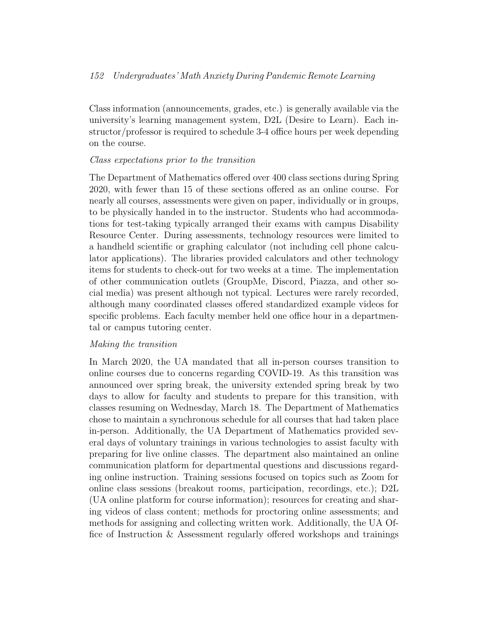## 152 Undergraduates' Math Anxiety During Pandemic Remote Learning

Class information (announcements, grades, etc.) is generally available via the university's learning management system, D2L (Desire to Learn). Each instructor/professor is required to schedule 3-4 office hours per week depending on the course.

## Class expectations prior to the transition

The Department of Mathematics offered over 400 class sections during Spring 2020, with fewer than 15 of these sections offered as an online course. For nearly all courses, assessments were given on paper, individually or in groups, to be physically handed in to the instructor. Students who had accommodations for test-taking typically arranged their exams with campus Disability Resource Center. During assessments, technology resources were limited to a handheld scientific or graphing calculator (not including cell phone calculator applications). The libraries provided calculators and other technology items for students to check-out for two weeks at a time. The implementation of other communication outlets (GroupMe, Discord, Piazza, and other social media) was present although not typical. Lectures were rarely recorded, although many coordinated classes offered standardized example videos for specific problems. Each faculty member held one office hour in a departmental or campus tutoring center.

## Making the transition

In March 2020, the UA mandated that all in-person courses transition to online courses due to concerns regarding COVID-19. As this transition was announced over spring break, the university extended spring break by two days to allow for faculty and students to prepare for this transition, with classes resuming on Wednesday, March 18. The Department of Mathematics chose to maintain a synchronous schedule for all courses that had taken place in-person. Additionally, the UA Department of Mathematics provided several days of voluntary trainings in various technologies to assist faculty with preparing for live online classes. The department also maintained an online communication platform for departmental questions and discussions regarding online instruction. Training sessions focused on topics such as Zoom for online class sessions (breakout rooms, participation, recordings, etc.); D2L (UA online platform for course information); resources for creating and sharing videos of class content; methods for proctoring online assessments; and methods for assigning and collecting written work. Additionally, the UA Office of Instruction & Assessment regularly offered workshops and trainings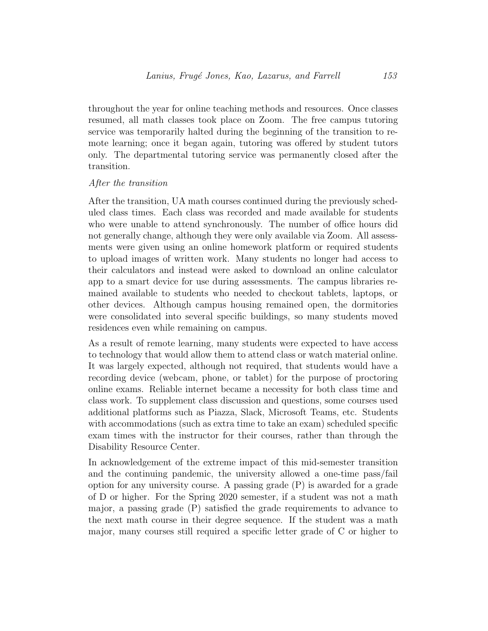throughout the year for online teaching methods and resources. Once classes resumed, all math classes took place on Zoom. The free campus tutoring service was temporarily halted during the beginning of the transition to remote learning; once it began again, tutoring was offered by student tutors only. The departmental tutoring service was permanently closed after the transition.

#### After the transition

After the transition, UA math courses continued during the previously scheduled class times. Each class was recorded and made available for students who were unable to attend synchronously. The number of office hours did not generally change, although they were only available via Zoom. All assessments were given using an online homework platform or required students to upload images of written work. Many students no longer had access to their calculators and instead were asked to download an online calculator app to a smart device for use during assessments. The campus libraries remained available to students who needed to checkout tablets, laptops, or other devices. Although campus housing remained open, the dormitories were consolidated into several specific buildings, so many students moved residences even while remaining on campus.

As a result of remote learning, many students were expected to have access to technology that would allow them to attend class or watch material online. It was largely expected, although not required, that students would have a recording device (webcam, phone, or tablet) for the purpose of proctoring online exams. Reliable internet became a necessity for both class time and class work. To supplement class discussion and questions, some courses used additional platforms such as Piazza, Slack, Microsoft Teams, etc. Students with accommodations (such as extra time to take an exam) scheduled specific exam times with the instructor for their courses, rather than through the Disability Resource Center.

In acknowledgement of the extreme impact of this mid-semester transition and the continuing pandemic, the university allowed a one-time pass/fail option for any university course. A passing grade (P) is awarded for a grade of D or higher. For the Spring 2020 semester, if a student was not a math major, a passing grade (P) satisfied the grade requirements to advance to the next math course in their degree sequence. If the student was a math major, many courses still required a specific letter grade of C or higher to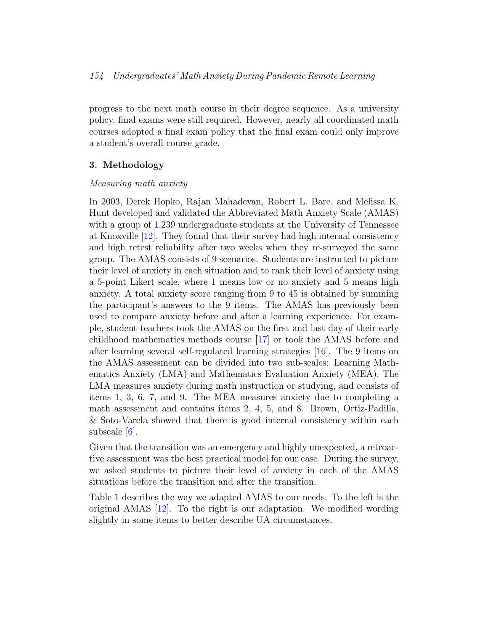progress to the next math course in their degree sequence. As a university policy, final exams were still required. However, nearly all coordinated math courses adopted a final exam policy that the final exam could only improve a student's overall course grade.

#### <span id="page-7-0"></span>3. Methodology

#### Measuring math anxiety

In 2003, Derek Hopko, Rajan Mahadevan, Robert L. Bare, and Melissa K. Hunt developed and validated the Abbreviated Math Anxiety Scale (AMAS) with a group of 1,239 undergraduate students at the University of Tennessee at Knoxville [\[12\]](#page-23-2). They found that their survey had high internal consistency and high retest reliability after two weeks when they re-surveyed the same group. The AMAS consists of 9 scenarios. Students are instructed to picture their level of anxiety in each situation and to rank their level of anxiety using a 5-point Likert scale, where 1 means low or no anxiety and 5 means high anxiety. A total anxiety score ranging from 9 to 45 is obtained by summing the participant's answers to the 9 items. The AMAS has previously been used to compare anxiety before and after a learning experience. For example, student teachers took the AMAS on the first and last day of their early childhood mathematics methods course [\[17\]](#page-23-1) or took the AMAS before and after learning several self-regulated learning strategies [\[16\]](#page-23-3). The 9 items on the AMAS assessment can be divided into two sub-scales: Learning Mathematics Anxiety (LMA) and Mathematics Evaluation Anxiety (MEA). The LMA measures anxiety during math instruction or studying, and consists of items 1, 3, 6, 7, and 9. The MEA measures anxiety due to completing a math assessment and contains items 2, 4, 5, and 8. Brown, Ortiz-Padilla, & Soto-Varela showed that there is good internal consistency within each subscale  $|6|$ .

Given that the transition was an emergency and highly unexpected, a retroactive assessment was the best practical model for our case. During the survey, we asked students to picture their level of anxiety in each of the AMAS situations before the transition and after the transition.

Table [1](#page-8-0) describes the way we adapted AMAS to our needs. To the left is the original AMAS [\[12\]](#page-23-2). To the right is our adaptation. We modified wording slightly in some items to better describe UA circumstances.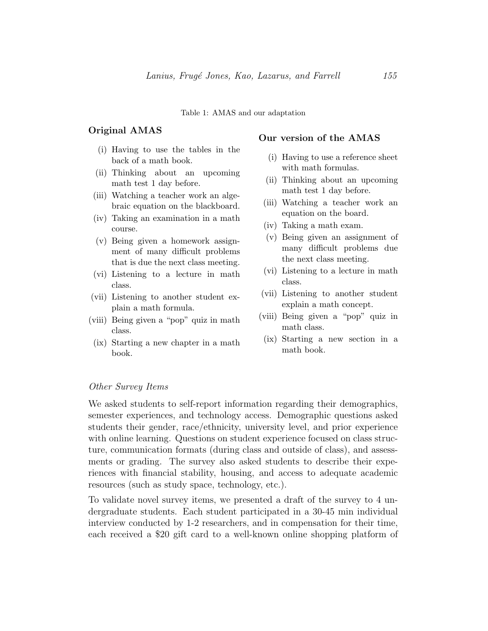Table 1: AMAS and our adaptation

#### <span id="page-8-0"></span>Original AMAS

- (i) Having to use the tables in the back of a math book.
- (ii) Thinking about an upcoming math test 1 day before.
- (iii) Watching a teacher work an algebraic equation on the blackboard.
- (iv) Taking an examination in a math course.
- (v) Being given a homework assignment of many difficult problems that is due the next class meeting.
- (vi) Listening to a lecture in math class.
- (vii) Listening to another student explain a math formula.
- (viii) Being given a "pop" quiz in math class.
- (ix) Starting a new chapter in a math book.

#### Our version of the AMAS

- (i) Having to use a reference sheet with math formulas.
- (ii) Thinking about an upcoming math test 1 day before.
- (iii) Watching a teacher work an equation on the board.
- (iv) Taking a math exam.
- (v) Being given an assignment of many difficult problems due the next class meeting.
- (vi) Listening to a lecture in math class.
- (vii) Listening to another student explain a math concept.
- (viii) Being given a "pop" quiz in math class.
- (ix) Starting a new section in a math book.

#### Other Survey Items

We asked students to self-report information regarding their demographics, semester experiences, and technology access. Demographic questions asked students their gender, race/ethnicity, university level, and prior experience with online learning. Questions on student experience focused on class structure, communication formats (during class and outside of class), and assessments or grading. The survey also asked students to describe their experiences with financial stability, housing, and access to adequate academic resources (such as study space, technology, etc.).

To validate novel survey items, we presented a draft of the survey to 4 undergraduate students. Each student participated in a 30-45 min individual interview conducted by 1-2 researchers, and in compensation for their time, each received a \$20 gift card to a well-known online shopping platform of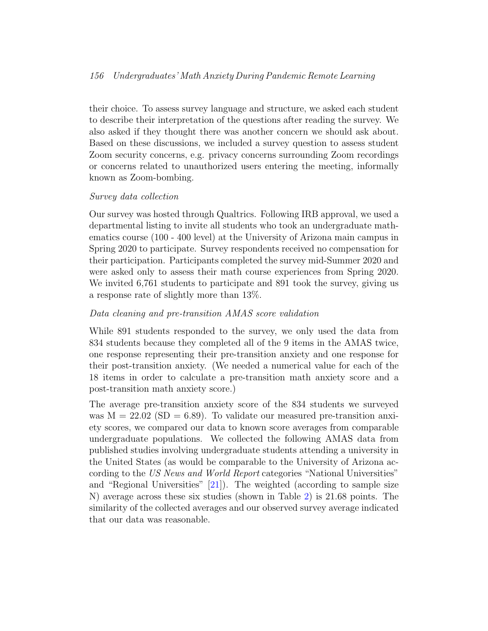## 156 Undergraduates' Math Anxiety During Pandemic Remote Learning

their choice. To assess survey language and structure, we asked each student to describe their interpretation of the questions after reading the survey. We also asked if they thought there was another concern we should ask about. Based on these discussions, we included a survey question to assess student Zoom security concerns, e.g. privacy concerns surrounding Zoom recordings or concerns related to unauthorized users entering the meeting, informally known as Zoom-bombing.

## Survey data collection

Our survey was hosted through Qualtrics. Following IRB approval, we used a departmental listing to invite all students who took an undergraduate mathematics course (100 - 400 level) at the University of Arizona main campus in Spring 2020 to participate. Survey respondents received no compensation for their participation. Participants completed the survey mid-Summer 2020 and were asked only to assess their math course experiences from Spring 2020. We invited 6,761 students to participate and 891 took the survey, giving us a response rate of slightly more than 13%.

## Data cleaning and pre-transition AMAS score validation

While 891 students responded to the survey, we only used the data from 834 students because they completed all of the 9 items in the AMAS twice, one response representing their pre-transition anxiety and one response for their post-transition anxiety. (We needed a numerical value for each of the 18 items in order to calculate a pre-transition math anxiety score and a post-transition math anxiety score.)

The average pre-transition anxiety score of the 834 students we surveyed was  $M = 22.02$  (SD = 6.89). To validate our measured pre-transition anxiety scores, we compared our data to known score averages from comparable undergraduate populations. We collected the following AMAS data from published studies involving undergraduate students attending a university in the United States (as would be comparable to the University of Arizona according to the US News and World Report categories "National Universities" and "Regional Universities"  $[21]$ ). The weighted (according to sample size N) average across these six studies (shown in Table [2\)](#page-10-1) is 21.68 points. The similarity of the collected averages and our observed survey average indicated that our data was reasonable.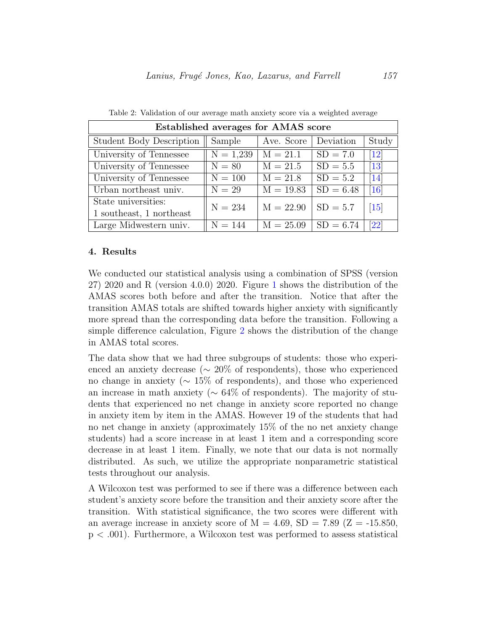<span id="page-10-1"></span>

| Established averages for AMAS score |             |             |             |                    |  |  |
|-------------------------------------|-------------|-------------|-------------|--------------------|--|--|
| <b>Student Body Description</b>     | Sample      | Ave. Score  | Deviation   | Study              |  |  |
| University of Tennessee             | $N = 1,239$ | $M = 21.1$  | $SD = 7.0$  | $\left[12\right]$  |  |  |
| University of Tennessee             | $N = 80$    | $M = 21.5$  | $SD = 5.5$  | $[13]$             |  |  |
| University of Tennessee             | $N = 100$   | $M = 21.8$  | $SD = 5.2$  | $\left[14\right]$  |  |  |
| Urban northeast univ.               | $N = 29$    | $M = 19.83$ | $SD = 6.48$ | $\left[16\right]$  |  |  |
| State universities:                 | $N = 234$   | $M = 22.90$ | $SD = 5.7$  | $\left[15\right]$  |  |  |
| 1 southeast, 1 northeast            |             |             |             |                    |  |  |
| Large Midwestern univ.              | $N = 144$   | $M = 25.09$ | $SD = 6.74$ | $\left[ 22\right]$ |  |  |

Table 2: Validation of our average math anxiety score via a weighted average

#### <span id="page-10-0"></span>4. Results

We conducted our statistical analysis using a combination of SPSS (version 27) 2020 and R (version 4.0.0) 2020. Figure [1](#page-11-0) shows the distribution of the AMAS scores both before and after the transition. Notice that after the transition AMAS totals are shifted towards higher anxiety with significantly more spread than the corresponding data before the transition. Following a simple difference calculation, Figure [2](#page-12-0) shows the distribution of the change in AMAS total scores.

The data show that we had three subgroups of students: those who experienced an anxiety decrease ( $\sim 20\%$  of respondents), those who experienced no change in anxiety (∼ 15% of respondents), and those who experienced an increase in math anxiety ( $\sim 64\%$  of respondents). The majority of students that experienced no net change in anxiety score reported no change in anxiety item by item in the AMAS. However 19 of the students that had no net change in anxiety (approximately 15% of the no net anxiety change students) had a score increase in at least 1 item and a corresponding score decrease in at least 1 item. Finally, we note that our data is not normally distributed. As such, we utilize the appropriate nonparametric statistical tests throughout our analysis.

A Wilcoxon test was performed to see if there was a difference between each student's anxiety score before the transition and their anxiety score after the transition. With statistical significance, the two scores were different with an average increase in anxiety score of  $M = 4.69$ ,  $SD = 7.89$  ( $Z = -15.850$ , p < .001). Furthermore, a Wilcoxon test was performed to assess statistical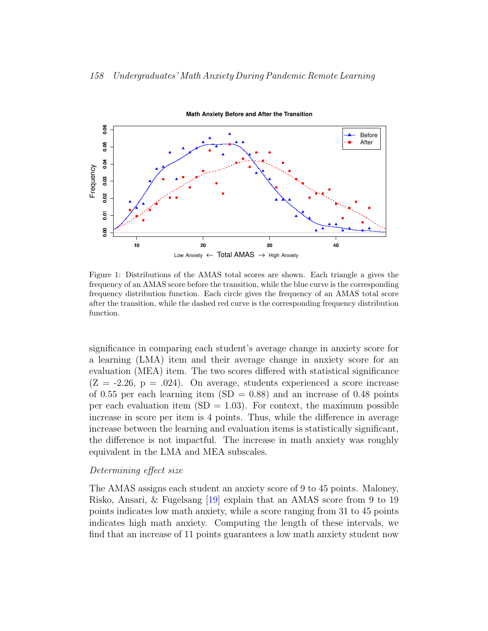

<span id="page-11-0"></span>Figure 1: Distributions of the AMAS total scores are shown. Each triangle a gives the frequency of an AMAS score before the transition, while the blue curve is the corresponding frequency distribution function. Each circle gives the frequency of an AMAS total score after the transition, while the dashed red curve is the corresponding frequency distribution function.

significance in comparing each student's average change in anxiety score for a learning (LMA) item and their average change in anxiety score for an evaluation (MEA) item. The two scores differed with statistical significance  $(Z = -2.26, p = .024)$ . On average, students experienced a score increase of 0.55 per each learning item  $(SD = 0.88)$  and an increase of 0.48 points per each evaluation item  $(SD = 1.03)$ . For context, the maximum possible increase in score per item is 4 points. Thus, while the difference in average increase between the learning and evaluation items is statistically significant, the difference is not impactful. The increase in math anxiety was roughly equivalent in the LMA and MEA subscales.

#### Determining effect size

The AMAS assigns each student an anxiety score of 9 to 45 points. Maloney, Risko, Ansari, & Fugelsang [\[19\]](#page-23-7) explain that an AMAS score from 9 to 19 points indicates low math anxiety, while a score ranging from 31 to 45 points indicates high math anxiety. Computing the length of these intervals, we find that an increase of 11 points guarantees a low math anxiety student now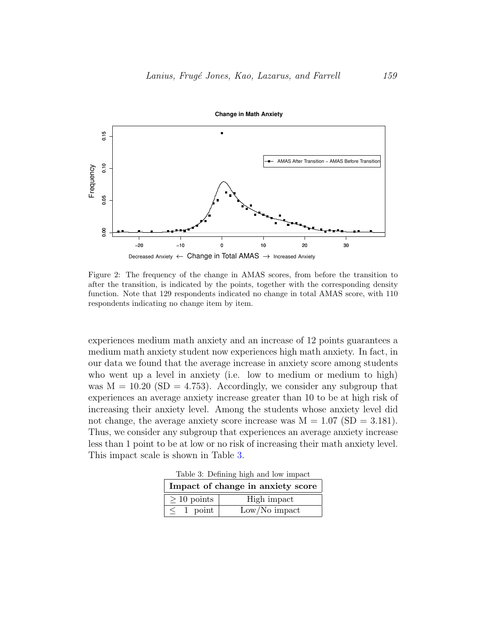

<span id="page-12-0"></span>Figure 2: The frequency of the change in AMAS scores, from before the transition to after the transition, is indicated by the points, together with the corresponding density function. Note that 129 respondents indicated no change in total AMAS score, with 110 respondents indicating no change item by item.

experiences medium math anxiety and an increase of 12 points guarantees a medium math anxiety student now experiences high math anxiety. In fact, in our data we found that the average increase in anxiety score among students who went up a level in anxiety (i.e. low to medium or medium to high) was  $M = 10.20$  (SD = 4.753). Accordingly, we consider any subgroup that experiences an average anxiety increase greater than 10 to be at high risk of increasing their anxiety level. Among the students whose anxiety level did not change, the average anxiety score increase was  $M = 1.07$  (SD = 3.181). Thus, we consider any subgroup that experiences an average anxiety increase less than 1 point to be at low or no risk of increasing their math anxiety level. This impact scale is shown in Table [3.](#page-12-1)

Table 3: Defining high and low impact

<span id="page-12-1"></span>

| Impact of change in anxiety score |                 |  |  |  |
|-----------------------------------|-----------------|--|--|--|
| $> 10$ points                     | High impact     |  |  |  |
| $\leq 1$ point                    | $Low/No$ impact |  |  |  |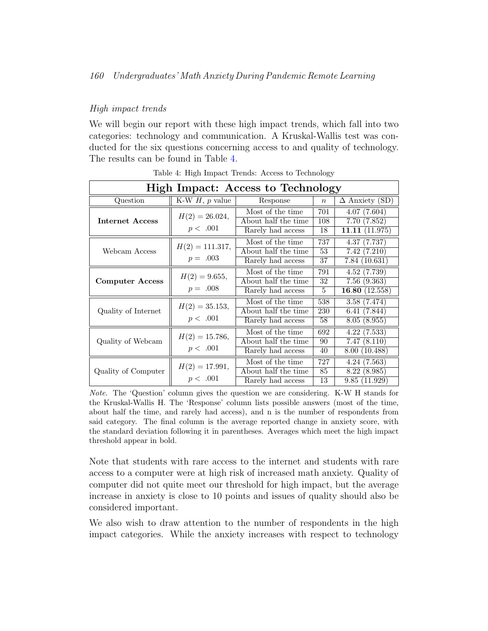## High impact trends

We will begin our report with these high impact trends, which fall into two categories: technology and communication. A Kruskal-Wallis test was conducted for the six questions concerning access to and quality of technology. The results can be found in Table [4.](#page-13-0)

<span id="page-13-0"></span>

| High Impact: Access to Technology |                                 |                     |                  |                       |  |
|-----------------------------------|---------------------------------|---------------------|------------------|-----------------------|--|
| Question                          | K-W $H$ , $p$ value<br>Response |                     | $\boldsymbol{n}$ | $\Delta$ Anxiety (SD) |  |
| <b>Internet Access</b>            | $H(2) = 26.024,$                | Most of the time.   | 701              | 4.07(7.604)           |  |
|                                   |                                 | About half the time | 108              | 7.70(7.852)           |  |
|                                   | p < .001                        | Rarely had access   | 18               | 11.11 $(11.975)$      |  |
|                                   | $H(2) = 111.317,$               | Most of the time.   | 737              | 4.37(7.737)           |  |
| Webcam Access                     |                                 | About half the time | 53               | 7.42(7.210)           |  |
|                                   | $p = .003$                      | Rarely had access   | 37               | 7.84(10.631)          |  |
|                                   | $H(2) = 9.655,$                 | Most of the time    | 791              | 4.52(7.739)           |  |
| <b>Computer Access</b>            |                                 | About half the time | 32               | 7.56(9.363)           |  |
|                                   | $p = .008$                      | Rarely had access   | 5                | 16.80 $(12.558)$      |  |
| Quality of Internet               | $H(2) = 35.153,$                | Most of the time    | 538              | 3.58(7.474)           |  |
|                                   |                                 | About half the time | 230              | 6.41(7.844)           |  |
|                                   | p < .001                        | Rarely had access   | 58               | 8.05(8.955)           |  |
| Quality of Webcam                 | $H(2) = 15.786,$<br>p < .001    | Most of the time.   | 692              | 4.22(7.533)           |  |
|                                   |                                 | About half the time | 90               | 7.47(8.110)           |  |
|                                   |                                 | Rarely had access   | 40               | 8.00 (10.488)         |  |
| Quality of Computer               | $H(2) = 17.991,$                | Most of the time    | 727              | 4.24(7.563)           |  |
|                                   |                                 | About half the time | 85               | 8.22(8.985)           |  |
|                                   | p < .001                        | Rarely had access   | $\overline{13}$  | 9.85(11.929)          |  |

Table 4: High Impact Trends: Access to Technology

Note. The 'Question' column gives the question we are considering. K-W H stands for the Kruskal-Wallis H. The 'Response' column lists possible answers (most of the time, about half the time, and rarely had access), and n is the number of respondents from said category. The final column is the average reported change in anxiety score, with the standard deviation following it in parentheses. Averages which meet the high impact threshold appear in bold.

Note that students with rare access to the internet and students with rare access to a computer were at high risk of increased math anxiety. Quality of computer did not quite meet our threshold for high impact, but the average increase in anxiety is close to 10 points and issues of quality should also be considered important.

We also wish to draw attention to the number of respondents in the high impact categories. While the anxiety increases with respect to technology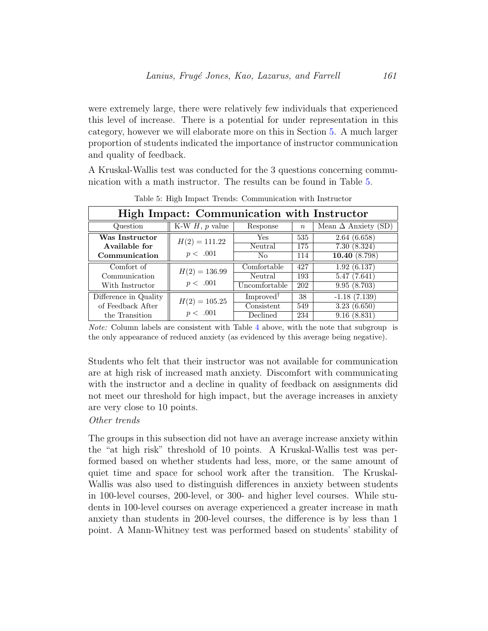were extremely large, there were relatively few individuals that experienced this level of increase. There is a potential for under representation in this category, however we will elaborate more on this in Section [5.](#page-17-0) A much larger proportion of students indicated the importance of instructor communication and quality of feedback.

A Kruskal-Wallis test was conducted for the 3 questions concerning communication with a math instructor. The results can be found in Table [5.](#page-14-0)

<span id="page-14-0"></span>

| High Impact: Communication with Instructor |                     |                       |                  |                            |
|--------------------------------------------|---------------------|-----------------------|------------------|----------------------------|
| Question                                   | K-W $H$ , $p$ value | Response              | $\boldsymbol{n}$ | Mean $\Delta$ Anxiety (SD) |
| Was Instructor                             | $H(2) = 111.22$     | Yes.                  | 535              | 2.64(6.658)                |
| Available for                              |                     | Neutral               | 175              | 7.30(8.324)                |
| Communication                              | p < .001            | No.                   | 114              | 10.40(8.798)               |
| Comfort of                                 | $H(2) = 136.99$     | Comfortable           | 427              | 1.92(6.137)                |
| Communication                              |                     | Neutral               | 193              | 5.47(7.641)                |
| With Instructor                            | p < .001            | Uncomfortable         | 202              | 9.95(8.703)                |
| Difference in Quality                      | $H(2) = 105.25$     | Improved <sup>†</sup> | 38               | $-1.18(7.139)$             |
| of Feedback After                          |                     | Consistent            | 549              | 3.23(6.650)                |
| the Transition                             | p < .001            | Declined              | 234              | 9.16(8.831)                |

Table 5: High Impact Trends: Communication with Instructor

Note: Column labels are consistent with Table [4](#page-13-0) above, with the note that subgroup is the only appearance of reduced anxiety (as evidenced by this average being negative).

Students who felt that their instructor was not available for communication are at high risk of increased math anxiety. Discomfort with communicating with the instructor and a decline in quality of feedback on assignments did not meet our threshold for high impact, but the average increases in anxiety are very close to 10 points.

## Other trends

The groups in this subsection did not have an average increase anxiety within the "at high risk" threshold of 10 points. A Kruskal-Wallis test was performed based on whether students had less, more, or the same amount of quiet time and space for school work after the transition. The Kruskal-Wallis was also used to distinguish differences in anxiety between students in 100-level courses, 200-level, or 300- and higher level courses. While students in 100-level courses on average experienced a greater increase in math anxiety than students in 200-level courses, the difference is by less than 1 point. A Mann-Whitney test was performed based on students' stability of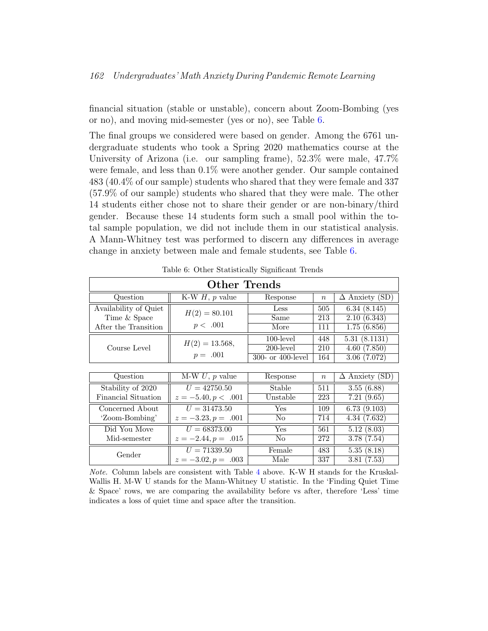financial situation (stable or unstable), concern about Zoom-Bombing (yes or no), and moving mid-semester (yes or no), see Table [6.](#page-15-0)

The final groups we considered were based on gender. Among the 6761 undergraduate students who took a Spring 2020 mathematics course at the University of Arizona (i.e. our sampling frame), 52.3% were male, 47.7% were female, and less than 0.1% were another gender. Our sample contained 483 (40.4% of our sample) students who shared that they were female and 337 (57.9% of our sample) students who shared that they were male. The other 14 students either chose not to share their gender or are non-binary/third gender. Because these 14 students form such a small pool within the total sample population, we did not include them in our statistical analysis. A Mann-Whitney test was performed to discern any differences in average change in anxiety between male and female students, see Table [6.](#page-15-0)

<span id="page-15-0"></span>

| <b>Other Trends</b>   |                       |                      |                  |                                  |  |
|-----------------------|-----------------------|----------------------|------------------|----------------------------------|--|
| Question              | K-W $H$ , p value     | Response             | $\boldsymbol{n}$ | $\Delta$ Anxiety (SD)            |  |
| Availability of Quiet | $H(2) = 80.101$       | Less                 | 505              | 6.34(8.145)                      |  |
| Time & Space          |                       | Same                 | 213              | 2.10(6.343)                      |  |
| After the Transition  | p < .001              | More                 | 111              | 1.75(6.856)                      |  |
|                       | $H(2) = 13.568,$      | $100$ -level         | 448              | 5.31(8.1131)                     |  |
| Course Level          |                       | 200-level            | 210              | 4.60(7.850)                      |  |
|                       | $p = .001$            | 300- or 400-level    | 164              | 3.06(7.072)                      |  |
|                       |                       |                      |                  |                                  |  |
| Question              | $M-W U$ , p value     | Response             | $\boldsymbol{n}$ | $\overline{\Delta}$ Anxiety (SD) |  |
| Stability of 2020     | $U = 42750.50$        | Stable               | 511              | 3.55(6.88)                       |  |
| Financial Situation   | $z = -5.40, p < .001$ | Unstable             | 223              | 7.21(9.65)                       |  |
| Concerned About       | $U = 31473.50$        | $\operatorname{Yes}$ | 109              | 6.73(9.103)                      |  |
| 'Zoom-Bombing'        | $z = -3.23, p = .001$ | N <sub>o</sub>       | 714              | 4.34(7.632)                      |  |
| Did You Move          | $U = 68373.00$        | Yes                  | 561              | 5.12(8.03)                       |  |
| Mid-semester          | $z = -2.44, p = .015$ | N <sub>o</sub>       | 272              | 3.78(7.54)                       |  |
| Gender                | $U = 71339.50$        | Female               | 483              | 5.35(8.18)                       |  |
|                       | $z = -3.02, p = .003$ | Male                 | 337              | $\overline{3.81}$ (7.53)         |  |

Table 6: Other Statistically Significant Trends

Note. Column labels are consistent with Table [4](#page-13-0) above. K-W H stands for the Kruskal-Wallis H. M-W U stands for the Mann-Whitney U statistic. In the 'Finding Quiet Time & Space' rows, we are comparing the availability before vs after, therefore 'Less' time indicates a loss of quiet time and space after the transition.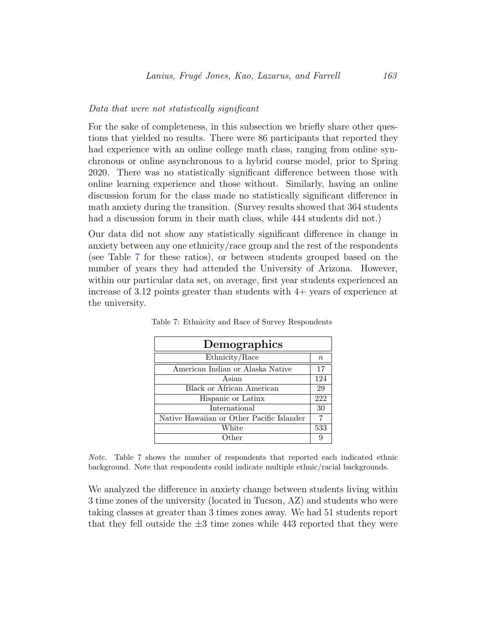#### Data that were not statistically significant

For the sake of completeness, in this subsection we briefly share other questions that yielded no results. There were 86 participants that reported they had experience with an online college math class, ranging from online synchronous or online asynchronous to a hybrid course model, prior to Spring 2020. There was no statistically significant difference between those with online learning experience and those without. Similarly, having an online discussion forum for the class made no statistically significant difference in math anxiety during the transition. (Survey results showed that 364 students had a discussion forum in their math class, while 444 students did not.)

Our data did not show any statistically significant difference in change in anxiety between any one ethnicity/race group and the rest of the respondents (see Table [7](#page-16-0) for these ratios), or between students grouped based on the number of years they had attended the University of Arizona. However, within our particular data set, on average, first year students experienced an increase of 3.12 points greater than students with 4+ years of experience at the university.

| Demographics                              |        |  |  |  |
|-------------------------------------------|--------|--|--|--|
| Ethnicity/Race                            | $\, n$ |  |  |  |
| American Indian or Alaska Native          | 17     |  |  |  |
| Asian                                     | 124    |  |  |  |
| Black or African American                 |        |  |  |  |
| Hispanic or Latinx                        |        |  |  |  |
| International                             | 30     |  |  |  |
| Native Hawaiian or Other Pacific Islander |        |  |  |  |
| White                                     | 533    |  |  |  |
| Other                                     |        |  |  |  |

<span id="page-16-0"></span>Table 7: Ethnicity and Race of Survey Respondents

Note. Table [7](#page-16-0) shows the number of respondents that reported each indicated ethnic background. Note that respondents could indicate multiple ethnic/racial backgrounds.

We analyzed the difference in anxiety change between students living within 3 time zones of the university (located in Tucson, AZ) and students who were taking classes at greater than 3 times zones away. We had 51 students report that they fell outside the  $\pm 3$  time zones while 443 reported that they were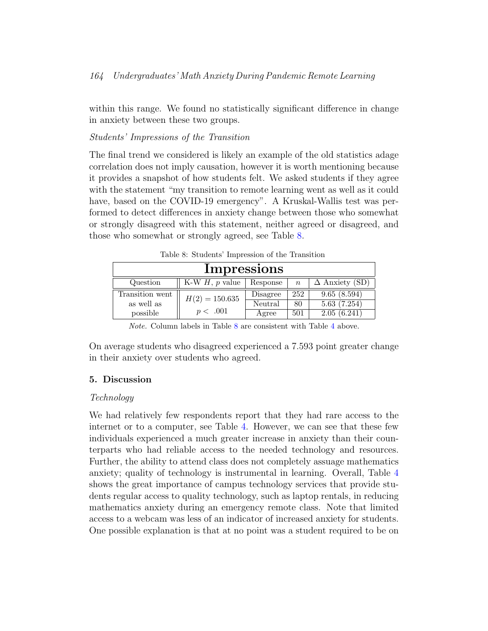within this range. We found no statistically significant difference in change in anxiety between these two groups.

## Students' Impressions of the Transition

The final trend we considered is likely an example of the old statistics adage correlation does not imply causation, however it is worth mentioning because it provides a snapshot of how students felt. We asked students if they agree with the statement "my transition to remote learning went as well as it could have, based on the COVID-19 emergency". A Kruskal-Wallis test was performed to detect differences in anxiety change between those who somewhat or strongly disagreed with this statement, neither agreed or disagreed, and those who somewhat or strongly agreed, see Table [8.](#page-17-1)

<span id="page-17-1"></span>

| rable 8: Students Impression of the Transition |                     |                     |                  |                            |
|------------------------------------------------|---------------------|---------------------|------------------|----------------------------|
| Impressions                                    |                     |                     |                  |                            |
| Question                                       | K-W $H$ , $p$ value | Response            | $\boldsymbol{n}$ | $\Delta$ Anxiety (SD)      |
| Transition went<br>as well as                  | $H(2) = 150.635$    | Disagree<br>Neutral | 252<br>80        | 9.65(8.594)<br>5.63(7.254) |
| possible                                       | p < .001            | Agree               | 501              | 2.05(6.241)                |

Table 8: Students' Impression of the Transition

Note. Column labels in Table [8](#page-17-1) are consistent with Table [4](#page-13-0) above.

<span id="page-17-0"></span>On average students who disagreed experienced a 7.593 point greater change in their anxiety over students who agreed.

## 5. Discussion

## Technology

We had relatively few respondents report that they had rare access to the internet or to a computer, see Table [4.](#page-13-0) However, we can see that these few individuals experienced a much greater increase in anxiety than their counterparts who had reliable access to the needed technology and resources. Further, the ability to attend class does not completely assuage mathematics anxiety; quality of technology is instrumental in learning. Overall, Table [4](#page-13-0) shows the great importance of campus technology services that provide students regular access to quality technology, such as laptop rentals, in reducing mathematics anxiety during an emergency remote class. Note that limited access to a webcam was less of an indicator of increased anxiety for students. One possible explanation is that at no point was a student required to be on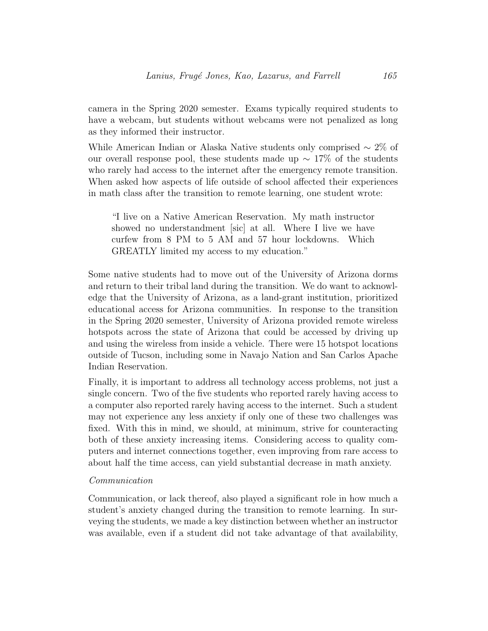camera in the Spring 2020 semester. Exams typically required students to have a webcam, but students without webcams were not penalized as long as they informed their instructor.

While American Indian or Alaska Native students only comprised  $\sim 2\%$  of our overall response pool, these students made up  $\sim 17\%$  of the students who rarely had access to the internet after the emergency remote transition. When asked how aspects of life outside of school affected their experiences in math class after the transition to remote learning, one student wrote:

"I live on a Native American Reservation. My math instructor showed no understandment [sic] at all. Where I live we have curfew from 8 PM to 5 AM and 57 hour lockdowns. Which GREATLY limited my access to my education."

Some native students had to move out of the University of Arizona dorms and return to their tribal land during the transition. We do want to acknowledge that the University of Arizona, as a land-grant institution, prioritized educational access for Arizona communities. In response to the transition in the Spring 2020 semester, University of Arizona provided remote wireless hotspots across the state of Arizona that could be accessed by driving up and using the wireless from inside a vehicle. There were 15 hotspot locations outside of Tucson, including some in Navajo Nation and San Carlos Apache Indian Reservation.

Finally, it is important to address all technology access problems, not just a single concern. Two of the five students who reported rarely having access to a computer also reported rarely having access to the internet. Such a student may not experience any less anxiety if only one of these two challenges was fixed. With this in mind, we should, at minimum, strive for counteracting both of these anxiety increasing items. Considering access to quality computers and internet connections together, even improving from rare access to about half the time access, can yield substantial decrease in math anxiety.

#### Communication

Communication, or lack thereof, also played a significant role in how much a student's anxiety changed during the transition to remote learning. In surveying the students, we made a key distinction between whether an instructor was available, even if a student did not take advantage of that availability,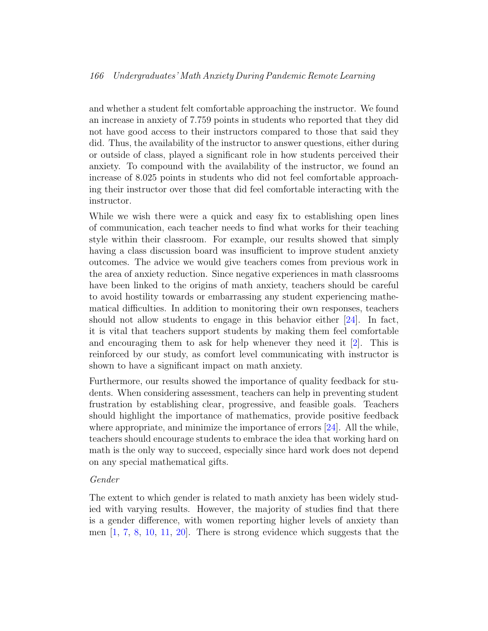## 166 Undergraduates' Math Anxiety During Pandemic Remote Learning

and whether a student felt comfortable approaching the instructor. We found an increase in anxiety of 7.759 points in students who reported that they did not have good access to their instructors compared to those that said they did. Thus, the availability of the instructor to answer questions, either during or outside of class, played a significant role in how students perceived their anxiety. To compound with the availability of the instructor, we found an increase of 8.025 points in students who did not feel comfortable approaching their instructor over those that did feel comfortable interacting with the instructor.

While we wish there were a quick and easy fix to establishing open lines of communication, each teacher needs to find what works for their teaching style within their classroom. For example, our results showed that simply having a class discussion board was insufficient to improve student anxiety outcomes. The advice we would give teachers comes from previous work in the area of anxiety reduction. Since negative experiences in math classrooms have been linked to the origins of math anxiety, teachers should be careful to avoid hostility towards or embarrassing any student experiencing mathematical difficulties. In addition to monitoring their own responses, teachers should not allow students to engage in this behavior either [\[24\]](#page-24-4). In fact, it is vital that teachers support students by making them feel comfortable and encouraging them to ask for help whenever they need it [\[2\]](#page-21-0). This is reinforced by our study, as comfort level communicating with instructor is shown to have a significant impact on math anxiety.

Furthermore, our results showed the importance of quality feedback for students. When considering assessment, teachers can help in preventing student frustration by establishing clear, progressive, and feasible goals. Teachers should highlight the importance of mathematics, provide positive feedback where appropriate, and minimize the importance of errors [\[24\]](#page-24-4). All the while, teachers should encourage students to embrace the idea that working hard on math is the only way to succeed, especially since hard work does not depend on any special mathematical gifts.

#### Gender

The extent to which gender is related to math anxiety has been widely studied with varying results. However, the majority of studies find that there is a gender difference, with women reporting higher levels of anxiety than men  $\left[1, 7, 8, 10, 11, 20\right]$  $\left[1, 7, 8, 10, 11, 20\right]$  $\left[1, 7, 8, 10, 11, 20\right]$  $\left[1, 7, 8, 10, 11, 20\right]$  $\left[1, 7, 8, 10, 11, 20\right]$  $\left[1, 7, 8, 10, 11, 20\right]$  $\left[1, 7, 8, 10, 11, 20\right]$  $\left[1, 7, 8, 10, 11, 20\right]$  $\left[1, 7, 8, 10, 11, 20\right]$  $\left[1, 7, 8, 10, 11, 20\right]$  $\left[1, 7, 8, 10, 11, 20\right]$ . There is strong evidence which suggests that the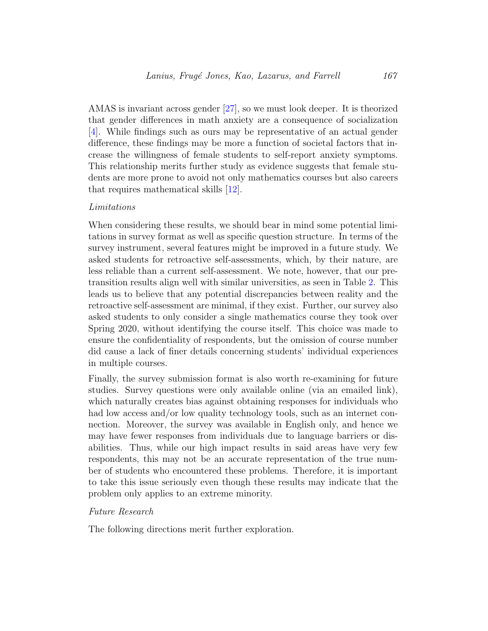AMAS is invariant across gender [\[27\]](#page-24-1), so we must look deeper. It is theorized that gender differences in math anxiety are a consequence of socialization [\[4\]](#page-22-8). While findings such as ours may be representative of an actual gender difference, these findings may be more a function of societal factors that increase the willingness of female students to self-report anxiety symptoms. This relationship merits further study as evidence suggests that female students are more prone to avoid not only mathematics courses but also careers that requires mathematical skills [\[12\]](#page-23-2).

#### Limitations

When considering these results, we should bear in mind some potential limitations in survey format as well as specific question structure. In terms of the survey instrument, several features might be improved in a future study. We asked students for retroactive self-assessments, which, by their nature, are less reliable than a current self-assessment. We note, however, that our pretransition results align well with similar universities, as seen in Table [2.](#page-10-1) This leads us to believe that any potential discrepancies between reality and the retroactive self-assessment are minimal, if they exist. Further, our survey also asked students to only consider a single mathematics course they took over Spring 2020, without identifying the course itself. This choice was made to ensure the confidentiality of respondents, but the omission of course number did cause a lack of finer details concerning students' individual experiences in multiple courses.

Finally, the survey submission format is also worth re-examining for future studies. Survey questions were only available online (via an emailed link), which naturally creates bias against obtaining responses for individuals who had low access and/or low quality technology tools, such as an internet connection. Moreover, the survey was available in English only, and hence we may have fewer responses from individuals due to language barriers or disabilities. Thus, while our high impact results in said areas have very few respondents, this may not be an accurate representation of the true number of students who encountered these problems. Therefore, it is important to take this issue seriously even though these results may indicate that the problem only applies to an extreme minority.

#### Future Research

The following directions merit further exploration.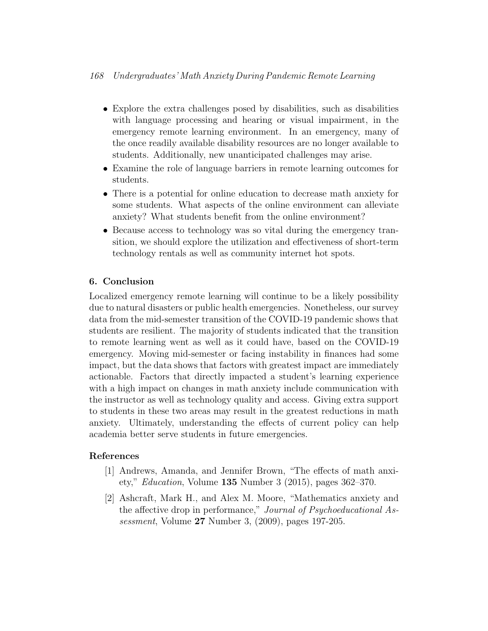- Explore the extra challenges posed by disabilities, such as disabilities with language processing and hearing or visual impairment, in the emergency remote learning environment. In an emergency, many of the once readily available disability resources are no longer available to students. Additionally, new unanticipated challenges may arise.
- Examine the role of language barriers in remote learning outcomes for students.
- There is a potential for online education to decrease math anxiety for some students. What aspects of the online environment can alleviate anxiety? What students benefit from the online environment?
- Because access to technology was so vital during the emergency transition, we should explore the utilization and effectiveness of short-term technology rentals as well as community internet hot spots.

## <span id="page-21-1"></span>6. Conclusion

Localized emergency remote learning will continue to be a likely possibility due to natural disasters or public health emergencies. Nonetheless, our survey data from the mid-semester transition of the COVID-19 pandemic shows that students are resilient. The majority of students indicated that the transition to remote learning went as well as it could have, based on the COVID-19 emergency. Moving mid-semester or facing instability in finances had some impact, but the data shows that factors with greatest impact are immediately actionable. Factors that directly impacted a student's learning experience with a high impact on changes in math anxiety include communication with the instructor as well as technology quality and access. Giving extra support to students in these two areas may result in the greatest reductions in math anxiety. Ultimately, understanding the effects of current policy can help academia better serve students in future emergencies.

## References

- <span id="page-21-2"></span>[1] Andrews, Amanda, and Jennifer Brown, "The effects of math anxiety," Education, Volume 135 Number 3 (2015), pages 362–370.
- <span id="page-21-0"></span>[2] Ashcraft, Mark H., and Alex M. Moore, "Mathematics anxiety and the affective drop in performance," Journal of Psychoeducational Assessment, Volume 27 Number 3, (2009), pages 197-205.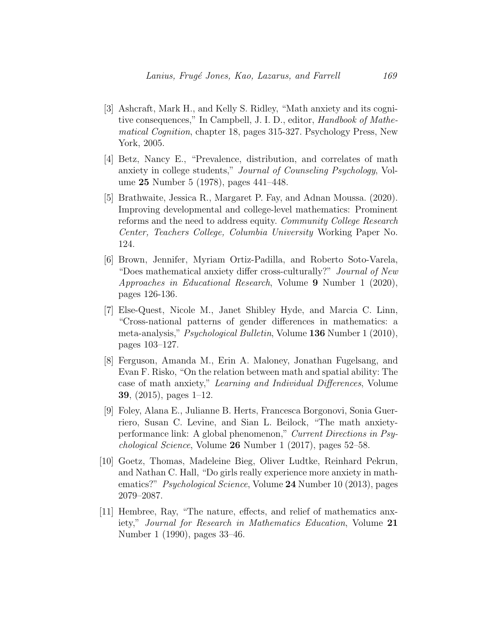- <span id="page-22-0"></span>[3] Ashcraft, Mark H., and Kelly S. Ridley, "Math anxiety and its cognitive consequences," In Campbell, J. I. D., editor, Handbook of Mathematical Cognition, chapter 18, pages 315-327. Psychology Press, New York, 2005.
- <span id="page-22-8"></span>[4] Betz, Nancy E., "Prevalence, distribution, and correlates of math anxiety in college students," Journal of Counseling Psychology, Volume 25 Number 5 (1978), pages 441–448.
- <span id="page-22-3"></span>[5] Brathwaite, Jessica R., Margaret P. Fay, and Adnan Moussa. (2020). Improving developmental and college-level mathematics: Prominent reforms and the need to address equity. Community College Research Center, Teachers College, Columbia University Working Paper No. 124.
- <span id="page-22-4"></span>[6] Brown, Jennifer, Myriam Ortiz-Padilla, and Roberto Soto-Varela, "Does mathematical anxiety differ cross-culturally?" Journal of New Approaches in Educational Research, Volume 9 Number 1 (2020), pages 126-136.
- <span id="page-22-5"></span>[7] Else-Quest, Nicole M., Janet Shibley Hyde, and Marcia C. Linn, "Cross-national patterns of gender differences in mathematics: a meta-analysis," Psychological Bulletin, Volume 136 Number 1 (2010), pages 103–127.
- <span id="page-22-6"></span>[8] Ferguson, Amanda M., Erin A. Maloney, Jonathan Fugelsang, and Evan F. Risko, "On the relation between math and spatial ability: The case of math anxiety," Learning and Individual Differences, Volume 39, (2015), pages 1–12.
- <span id="page-22-1"></span>[9] Foley, Alana E., Julianne B. Herts, Francesca Borgonovi, Sonia Guerriero, Susan C. Levine, and Sian L. Beilock, "The math anxietyperformance link: A global phenomenon," Current Directions in Psychological Science, Volume 26 Number 1 (2017), pages 52–58.
- <span id="page-22-7"></span>[10] Goetz, Thomas, Madeleine Bieg, Oliver Ludtke, Reinhard Pekrun, and Nathan C. Hall, "Do girls really experience more anxiety in mathematics?" *Psychological Science*, Volume 24 Number 10 (2013), pages 2079–2087.
- <span id="page-22-2"></span>[11] Hembree, Ray, "The nature, effects, and relief of mathematics anxiety," Journal for Research in Mathematics Education, Volume 21 Number 1 (1990), pages 33–46.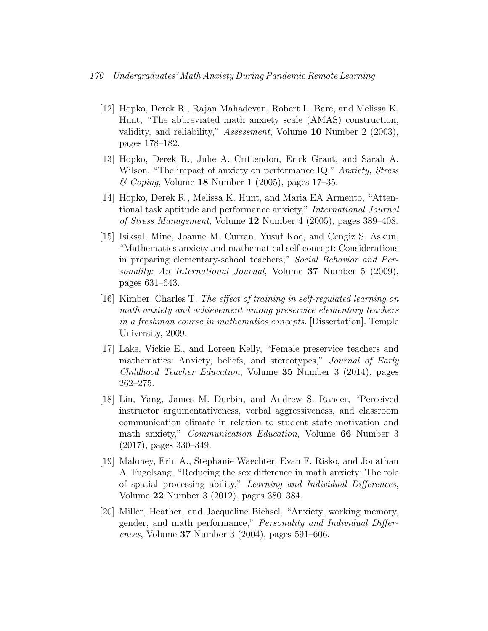- <span id="page-23-2"></span>[12] Hopko, Derek R., Rajan Mahadevan, Robert L. Bare, and Melissa K. Hunt, "The abbreviated math anxiety scale (AMAS) construction, validity, and reliability," Assessment, Volume 10 Number 2 (2003), pages 178–182.
- <span id="page-23-4"></span>[13] Hopko, Derek R., Julie A. Crittendon, Erick Grant, and Sarah A. Wilson, "The impact of anxiety on performance IQ," Anxiety, Stress  $\mathscr{\mathscr{C}}$  Coping, Volume 18 Number 1 (2005), pages 17–35.
- <span id="page-23-5"></span>[14] Hopko, Derek R., Melissa K. Hunt, and Maria EA Armento, "Attentional task aptitude and performance anxiety," International Journal of Stress Management, Volume 12 Number 4 (2005), pages 389–408.
- <span id="page-23-6"></span>[15] Isiksal, Mine, Joanne M. Curran, Yusuf Koc, and Cengiz S. Askun, "Mathematics anxiety and mathematical self-concept: Considerations in preparing elementary-school teachers," Social Behavior and Personality: An International Journal, Volume 37 Number 5 (2009), pages 631–643.
- <span id="page-23-3"></span>[16] Kimber, Charles T. The effect of training in self-regulated learning on math anxiety and achievement among preservice elementary teachers in a freshman course in mathematics concepts. [Dissertation]. Temple University, 2009.
- <span id="page-23-1"></span>[17] Lake, Vickie E., and Loreen Kelly, "Female preservice teachers and mathematics: Anxiety, beliefs, and stereotypes," Journal of Early Childhood Teacher Education, Volume 35 Number 3 (2014), pages 262–275.
- <span id="page-23-0"></span>[18] Lin, Yang, James M. Durbin, and Andrew S. Rancer, "Perceived instructor argumentativeness, verbal aggressiveness, and classroom communication climate in relation to student state motivation and math anxiety," Communication Education, Volume 66 Number 3 (2017), pages 330–349.
- <span id="page-23-7"></span>[19] Maloney, Erin A., Stephanie Waechter, Evan F. Risko, and Jonathan A. Fugelsang, "Reducing the sex difference in math anxiety: The role of spatial processing ability," Learning and Individual Differences, Volume 22 Number 3 (2012), pages 380–384.
- <span id="page-23-8"></span>[20] Miller, Heather, and Jacqueline Bichsel, "Anxiety, working memory, gender, and math performance," Personality and Individual Differences, Volume 37 Number 3 (2004), pages 591–606.